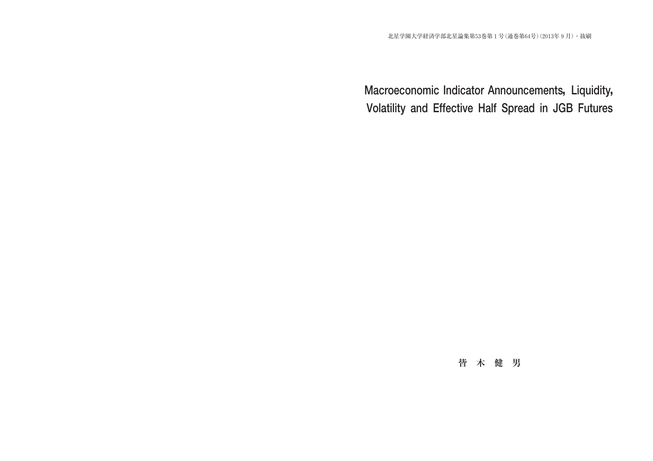# **Macroeconomic Indicator Announcements, Liquidity, Volatility and Effective Half Spread in JGB Futures**

## **皆木健男**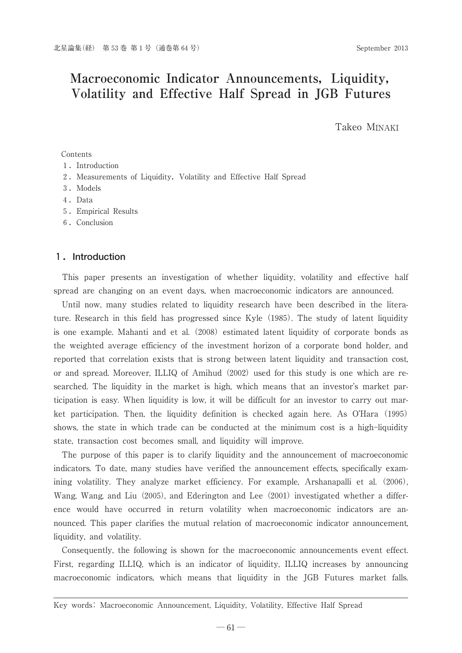## Macroeconomic Indicator Announcements, Liquidity, **Volatility and Effective Half Spread in JGB Futures**

Takeo MINAKI

#### Contents

- 1.Introduction
- 2. Measurements of Liquidity, Volatility and Effective Half Spread
- 3.Models
- 4.Data
- 5.Empirical Results
- 6.Conclusion

#### **1.Introduction**

This paper presents an investigation of whether liquidity, volatility and effective half spread are changing on an event days, when macroeconomic indicators are announced.

Until now, many studies related to liquidity research have been described in the literature. Research in this field has progressed since Kyle (1985). The study of latent liquidity is one example. Mahanti and et al. (2008) estimated latent liquidity of corporate bonds as the weighted average efficiency of the investment horizon of a corporate bond holder, and reported that correlation exists that is strong between latent liquidity and transaction cost, or and spread. Moreover, ILLIQ of Amihud (2002) used for this study is one which are researched. The liquidity in the market is high, which means that an investor's market participation is easy. When liquidity is low, it will be difficult for an investor to carry out market participation. Then, the liquidity definition is checked again here. As O'Hara (1995) shows, the state in which trade can be conducted at the minimum cost is a high-liquidity state, transaction cost becomes small, and liquidity will improve.

The purpose of this paper is to clarify liquidity and the announcement of macroeconomic indicators. To date, many studies have verified the announcement effects, specifically examining volatility. They analyze market efficiency. For example, Arshanapalli et al.(2006), Wang, Wang, and Liu (2005), and Ederington and Lee (2001) investigated whether a difference would have occurred in return volatility when macroeconomic indicators are announced. This paper clarifies the mutual relation of macroeconomic indicator announcement, liquidity, and volatility.

Consequently, the following is shown for the macroeconomic announcements event effect. First, regarding ILLIQ, which is an indicator of liquidity, ILLIQ increases by announcing macroeconomic indicators, which means that liquidity in the JGB Futures market falls.

Key words: Macroeconomic Announcement, Liquidity, Volatility, Effective Half Spread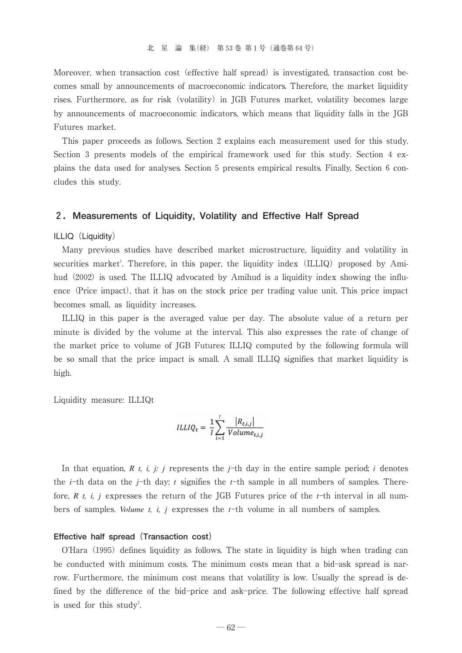Moreover, when transaction cost (effective half spread) is investigated, transaction cost becomes small by announcements of macroeconomic indicators. Therefore, the market liquidity rises. Furthermore, as for risk (volatility) in JGB Futures market, volatility becomes large by announcements of macroeconomic indicators, which means that liquidity falls in the JGB Futures market.

This paper proceeds as follows. Section 2 explains each measurement used for this study. Section 3 presents models of the empirical framework used for this study. Section 4 explains the data used for analyses. Section 5 presents empirical results. Finally, Section 6 concludes this study.

#### **2.Measurements of Liquidity, Volatility and Effective Half Spread**

ILLIQ (Liquidity)

Many previous studies have described market microstructure, liquidity and volatility in securities market<sup>1</sup>. Therefore, in this paper, the liquidity index (ILLIQ) proposed by Amihud (2002) is used. The ILLIQ advocated by Amihud is a liquidity index showing the influence (Price impact), that it has on the stock price per trading value unit. This price impact becomes small, as liquidity increases.

ILLIQ in this paper is the averaged value per day. The absolute value of a return per minute is divided by the volume at the interval. This also expresses the rate of change of the market price to volume of JGB Futures: ILLIQ computed by the following formula will be so small that the price impact is small. A small ILLIQ signifies that market liquidity is high.

Liquidity measure: ILLIQt

$$
ILLIQ_t = \frac{1}{I} \sum_{i=1}^{I} \frac{|R_{t,i,j}|}{Volume_{t,i,j}}
$$

In that equation,  $R$ ,  $t$ ,  $i$ ,  $j$ :  $j$  represents the  $j$ -th day in the entire sample period;  $i$  denotes the *i*-th data on the *j*-th day; *t* signifies the *t*-th sample in all numbers of samples. Therefore, *R t, i, j* expresses the return of the JGB Futures price of the *t*-th interval in all numbers of samples. *Volume t, i, j* expresses the *t*-th volume in all numbers of samples.

#### **Effective half spread(Transaction cost)**

O'Hara (1995) defines liquidity as follows. The state in liquidity is high when trading can be conducted with minimum costs. The minimum costs mean that a bid-ask spread is narrow. Furthermore, the minimum cost means that volatility is low. Usually the spread is defined by the difference of the bid-price and ask-price. The following effective half spread is used for this study<sup>2</sup>. .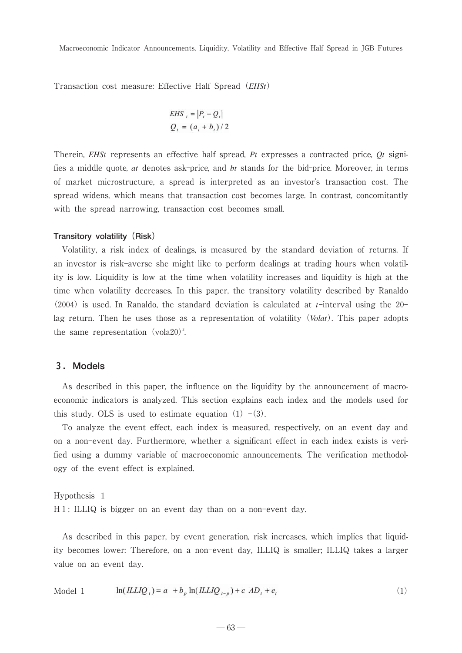Transaction cost measure: Effective Half Spread(*EHSt*)

$$
EHS_{i} = |P_{i} - Q_{i}|
$$
  

$$
Q_{i} = (a_{i} + b_{i})/2
$$

Therein, *EHSt* represents an effective half spread, *Pt* expresses a contracted price, *Qt* signifies a middle quote, *at* denotes ask-price, and *bt* stands for the bid-price. Moreover, in terms of market microstructure, a spread is interpreted as an investor's transaction cost. The spread widens, which means that transaction cost becomes large. In contrast, concomitantly with the spread narrowing, transaction cost becomes small.

#### **Transitory volatility (Risk)**

Volatility, a risk index of dealings, is measured by the standard deviation of returns. If an investor is risk-averse she might like to perform dealings at trading hours when volatility is low. Liquidity is low at the time when volatility increases and liquidity is high at the time when volatility decreases. In this paper, the transitory volatility described by Ranaldo  $(2004)$  is used. In Ranaldo, the standard deviation is calculated at *t*-interval using the 20lag return. Then he uses those as a representation of volatility(*Volat*). This paper adopts the same representation (vola20)<sup>3</sup>. .

#### **3.Models**

As described in this paper, the influence on the liquidity by the announcement of macroeconomic indicators is analyzed. This section explains each index and the models used for this study. OLS is used to estimate equation  $(1)$  – $(3)$ .

To analyze the event effect, each index is measured, respectively, on an event day and on a non-event day. Furthermore, whether a significant effect in each index exists is verified using a dummy variable of macroeconomic announcements. The verification methodology of the event effect is explained.

## Hypothesis 1 H1: ILLIQ is bigger on an event day than on a non-event day.

As described in this paper, by event generation, risk increases, which implies that liquidity becomes lower: Therefore, on a non-event day, ILLIQ is smaller; ILLIQ takes a larger value on an event day.

$$
\text{Model 1} \qquad \ln(ILLIQ_i) = a + b_p \ln(ILLIQ_{i-p}) + c \ AD_i + e_i \tag{1}
$$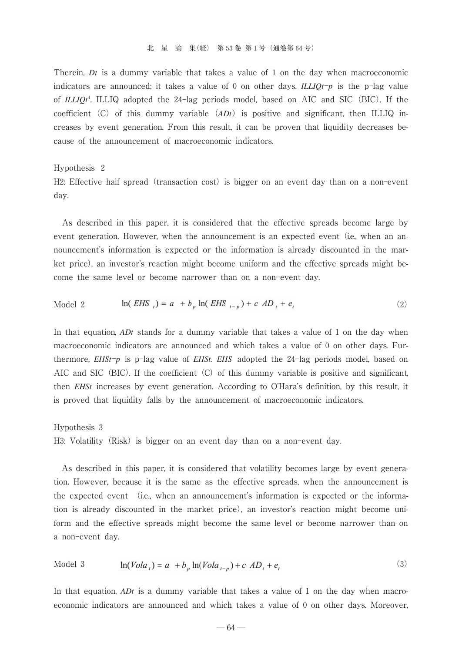Therein, *Dt* is a dummy variable that takes a value of 1 on the day when macroeconomic indicators are announced; it takes a value of 0 on other days. *ILLIQt*-*p* is the p-lag value of *ILLIQt*<sup>4</sup> . ILLIQ adopted the 24-lag periods model, based on AIC and SIC(BIC). If the coefficient (C) of this dummy variable  $(ADt)$  is positive and significant, then ILLIQ increases by event generation. From this result, it can be proven that liquidity decreases because of the announcement of macroeconomic indicators.

#### Hypothesis 2

H2: Effective half spread (transaction cost) is bigger on an event day than on a non-event day.

As described in this paper, it is considered that the effective spreads become large by event generation. However, when the announcement is an expected event (i.e., when an announcement's information is expected or the information is already discounted in the market price), an investor's reaction might become uniform and the effective spreads might become the same level or become narrower than on a non-event day.

Model 2 
$$
\ln(EHS_{t}) = a + b_{p} \ln(EHS_{t-p}) + c \, AD_{t} + e_{t}
$$
 (2)

In that equation, *ADt* stands for a dummy variable that takes a value of 1 on the day when macroeconomic indicators are announced and which takes a value of 0 on other days. Furthermore, *EHSt*-*p* is p-lag value of *EHSt. EHS* adopted the 24-lag periods model, based on AIC and SIC (BIC). If the coefficient  $(C)$  of this dummy variable is positive and significant, then *EHSt* increases by event generation. According to O'Hara's definition, by this result, it is proved that liquidity falls by the announcement of macroeconomic indicators.

## Hypothesis 3 H3: Volatility (Risk) is bigger on an event day than on a non-event day.

As described in this paper, it is considered that volatility becomes large by event generation. However, because it is the same as the effective spreads, when the announcement is the expected event (i.e., when an announcement's information is expected or the information is already discounted in the market price), an investor's reaction might become uniform and the effective spreads might become the same level or become narrower than on a non-event day.

Model 3 
$$
\ln(Vola_{n}) = a + b_{n} \ln(Vola_{n-1}) + c \, AD_{n} + e
$$
 (3)

In that equation, *ADt* is a dummy variable that takes a value of 1 on the day when macroeconomic indicators are announced and which takes a value of 0 on other days. Moreover,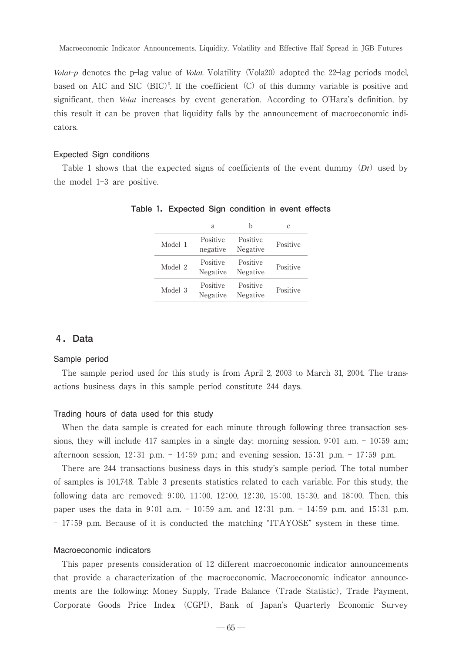Macroeconomic Indicator Announcements, Liquidity, Volatility and Effective Half Spread in JGB Futures

*Volat-p* denotes the p-lag value of *Volat*. Volatility (Vola20) adopted the 22-lag periods model, based on AIC and SIC  $(BIC)^5$ . If the coefficient  $(C)$  of this dummy variable is positive and significant, then *Volat* increases by event generation. According to O'Hara's definition, by this result it can be proven that liquidity falls by the announcement of macroeconomic indicators.

#### Expected Sign conditions

Table 1 shows that the expected signs of coefficients of the event dummy  $(Dt)$  used by the model 1-3 are positive.

|         | a                    |                      | C        |
|---------|----------------------|----------------------|----------|
| Model 1 | Positive<br>negative | Positive<br>Negative | Positive |
| Model 2 | Positive<br>Negative | Positive<br>Negative | Positive |
| Model 3 | Positive<br>Negative | Positive<br>Negative | Positive |

**Table 1.Expected Sign condition in event effects**

#### **4.Data**

#### Sample period

The sample period used for this study is from April 2, 2003 to March 31, 2004. The transactions business days in this sample period constitute 244 days.

#### Trading hours of data used for this study

When the data sample is created for each minute through following three transaction sessions, they will include 417 samples in a single day: morning session, 9:01 a.m. - 10:59 a.m.; afternoon session, 12:31 p.m. -14:59 p.m.; and evening session, 15:31 p.m. -17:59 p.m.

There are 244 transactions business days in this study's sample period. The total number of samples is 1017, 48. Table 3 presents statistics related to each variable. For this study, the following data are removed: 9:00, 11:00, 12:00, 12:30, 15:00, 15:30, and 18:00. Then, this paper uses the data in 9:01 a.m. -10:59 a.m. and 12:31 p.m. -14:59 p.m. and 15:31 p.m. - 17:59 p.m. Because of it is conducted the matching "ITAYOSE" system in these time.

#### Macroeconomic indicators

This paper presents consideration of 12 different macroeconomic indicator announcements that provide a characterization of the macroeconomic. Macroeconomic indicator announcements are the following: Money Supply, Trade Balance(Trade Statistic), Trade Payment, Corporate Goods Price Index (CGPI), Bank of Japan's Quarterly Economic Survey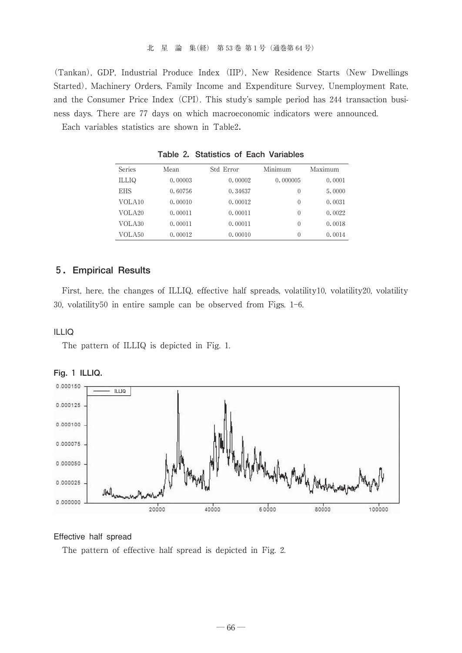(Tankan), GDP, Industrial Produce Index (IIP), New Residence Starts (New Dwellings Started), Machinery Orders, Family Income and Expenditure Survey, Unemployment Rate, and the Consumer Price Index (CPI). This study's sample period has 244 transaction business days. There are 77 days on which macroeconomic indicators were announced.

Each variables statistics are shown in Table2.

| Series             | Mean    | Std Error | Minimum  | Maximum |
|--------------------|---------|-----------|----------|---------|
| ILLIQ              | 0.00003 | 0.00002   | 0.000005 | 0.0001  |
| <b>EHS</b>         | 0.60756 | 0.34637   | $\theta$ | 5.0000  |
| VOLA <sub>10</sub> | 0.00010 | 0.00012   | $\theta$ | 0.0031  |
| VOLA <sub>20</sub> | 0.00011 | 0.00011   | $\theta$ | 0.0022  |
| VOLA30             | 0.00011 | 0.00011   | $\theta$ | 0.0018  |
| VOLA <sub>50</sub> | 0.00012 | 0.00010   | $\theta$ | 0.0014  |

**Table 2.Statistics of Each Variables**

### **5.Empirical Results**

First, here, the changes of ILLIQ, effective half spreads, volatility10, volatility20, volatility 30, volatility50 in entire sample can be observed from Figs. 1-6.

#### ILLIQ

The pattern of ILLIQ is depicted in Fig. 1.





#### Effective half spread

The pattern of effective half spread is depicted in Fig. 2.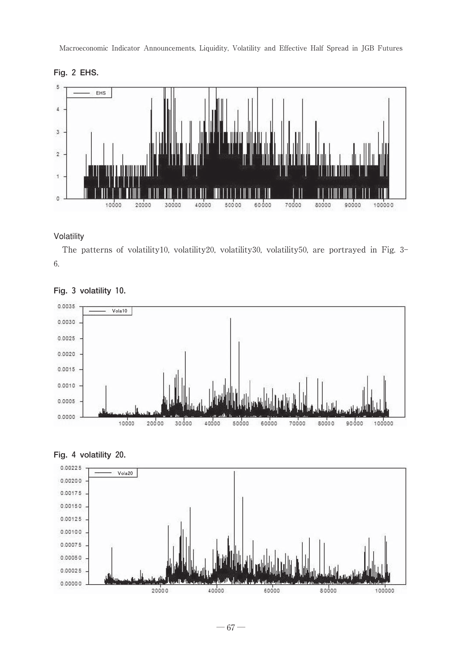Macroeconomic Indicator Announcements, Liquidity, Volatility and Effective Half Spread in JGB Futures





#### Volatility

The patterns of volatility10, volatility20, volatility30, volatility50, are portrayed in Fig. 3- 6.







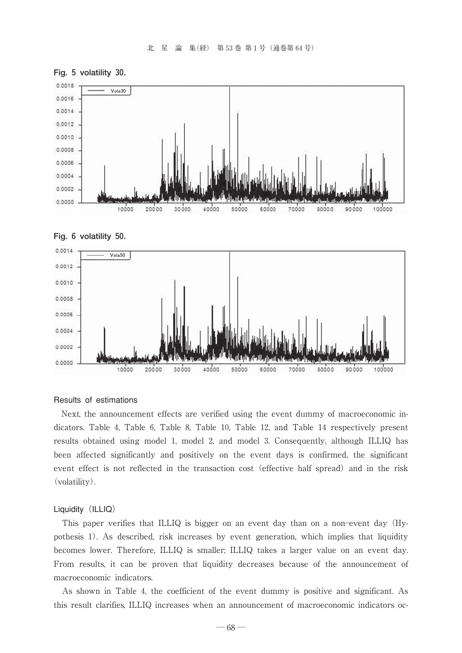







#### Results of estimations

Next, the announcement effects are verified using the event dummy of macroeconomic indicators. Table 4, Table 6, Table 8, Table 10, Table 12, and Table 14 respectively present results obtained using model 1, model 2, and model 3. Consequently, although ILLIQ has been affected significantly and positively on the event days is confirmed, the significant event effect is not reflected in the transaction cost (effective half spread) and in the risk (volatility).

#### Liquidity (ILLIQ)

This paper verifies that ILLIQ is bigger on an event day than on a non-event day(Hypothesis 1). As described, risk increases by event generation, which implies that liquidity becomes lower. Therefore, ILLIQ is smaller; ILLIQ takes a larger value on an event day. From results, it can be proven that liquidity decreases because of the announcement of macroeconomic indicators.

As shown in Table 4, the coefficient of the event dummy is positive and significant. As this result clarifies, ILLIQ increases when an announcement of macroeconomic indicators oc-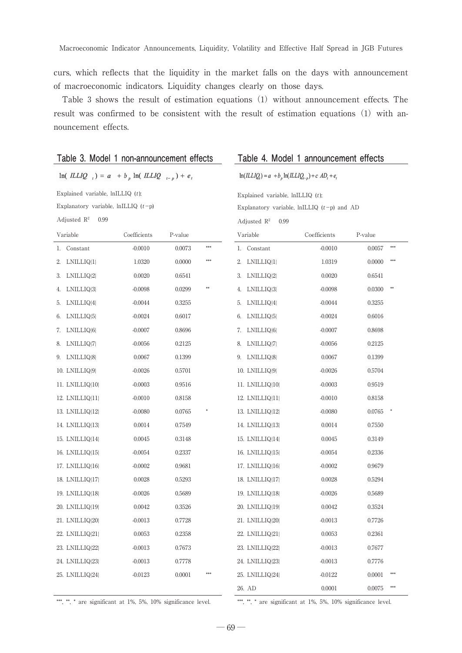curs, which reflects that the liquidity in the market falls on the days with announcement of macroeconomic indicators. Liquidity changes clearly on those days.

Table 3 shows the result of estimation equations (1) without announcement effects. The result was confirmed to be consistent with the result of estimation equations  $(1)$  with announcement effects.

|                                           | Table 3. Model 1 non-announcement effects         |         |        |                                    | Table 4. Model 1 announcement effects                      |         |
|-------------------------------------------|---------------------------------------------------|---------|--------|------------------------------------|------------------------------------------------------------|---------|
|                                           | $ln(LLIQ_{t}) = a + b_{p} ln(LLIQ_{t-p}) + e_{t}$ |         |        |                                    | $\ln (ILLIQ_i) = a + b_n \ln (ILLIQ_{i-n}) + c AD_i + e_i$ |         |
| Explained variable, $lnILLIQ$ (t);        |                                                   |         |        | Explained variable, $lnILLIQ$ (t); |                                                            |         |
| Explanatory variable, $lnILLIQ$ ( $t-p$ ) |                                                   |         |        |                                    | Explanatory variable, $lnILLIQ$ ( $t-p$ ) and AD           |         |
| Adjusted $\mathbb{R}^2$<br>0.99           |                                                   |         |        | Adjusted $\mathbb{R}^2$<br>0.99    |                                                            |         |
| Variable                                  | Coefficients                                      | P-value |        | Variable                           | Coefficients                                               | P-value |
| Constant<br>1.                            | $-0.0010$                                         | 0.0073  | ***    | 1. Constant                        | $-0.0010$                                                  | 0.0057  |
| 2.<br>LNILLIQ{1}                          | 1.0320                                            | 0.0000  | ***    | LNILLIQ{1}<br>2.                   | 1.0319                                                     | 0.0000  |
| 3.<br>LNILLIQ <sup>[2]</sup>              | 0.0020                                            | 0.6541  |        | LNILLIQ[2]<br>3.                   | 0.0020                                                     | 0.6541  |
| 4.<br>LNILLIQ3                            | $-0.0098$                                         | 0.0299  | 88     | LNILLIQ <sub>3</sub><br>4.         | $-0.0098$                                                  | 0.0300  |
| 5.<br>LNILLIQ{4}                          | $-0.0044$                                         | 0.3255  |        | 5. LNILLIQ[4]                      | $-0.0044$                                                  | 0.3255  |
| 6.<br>LNILLIQ{5}                          | $-0.0024$                                         | 0.6017  |        | 6. LNILLIQ[5]                      | $-0.0024$                                                  | 0.6016  |
| 7.<br>LNILLIQ{6}                          | $-0.0007$                                         | 0.8696  |        | 7.<br>LNILLIQ <sup>[6]</sup>       | $-0.0007$                                                  | 0.8698  |
| 8.<br>LNILLIQ{7}                          | $-0.0056$                                         | 0.2125  |        | 8.<br>LNILLIQ7                     | $-0.0056$                                                  | 0.2125  |
| 9. LNILLIQ8                               | 0.0067                                            | 0.1399  |        | 9. LNILLIQ8                        | 0.0067                                                     | 0.1399  |
| 10. LNILLIQ{9}                            | $-0.0026$                                         | 0.5701  |        | 10. LNILLIQ{9}                     | $-0.0026$                                                  | 0.5704  |
| 11. LNILLIQ[10]                           | $-0.0003$                                         | 0.9516  |        | 11. LNILLIQ{10}                    | $-0.0003$                                                  | 0.9519  |
| 12. LNILLIQ[11]                           | $-0.0010$                                         | 0.8158  |        | 12. LNILLIQ[11]                    | $-0.0010$                                                  | 0.8158  |
| 13. LNILLIQ[12]                           | $-0.0080$                                         | 0.0765  |        | 13. LNILLIQ{12}                    | $-0.0080$                                                  | 0.0765  |
| 14. LNILLIQ[13]                           | 0.0014                                            | 0.7549  |        | 14. LNILLIQ{13}                    | 0.0014                                                     | 0.7550  |
| 15. LNILLIQ{14}                           | 0.0045                                            | 0.3148  |        | 15. LNILLIQ{14}                    | 0.0045                                                     | 0.3149  |
| 16. LNILLIQ[15]                           | $-0.0054$                                         | 0.2337  |        | 16. LNILLIQ[15]                    | $-0.0054$                                                  | 0.2336  |
| 17. LNILLIQ[16]                           | $-0.0002$                                         | 0.9681  |        | 17. LNILLIQ{16}                    | $-0.0002$                                                  | 0.9679  |
| 18. LNILLIQ 17                            | 0.0028                                            | 0.5293  |        | 18. LNILLIQ{17}                    | 0.0028                                                     | 0.5294  |
| 19. LNILLIQ{18}                           | $-0.0026$                                         | 0.5689  |        | 19. LNILLIQ{18}                    | $-0.0026$                                                  | 0.5689  |
| 20. LNILLIQ[19]                           | 0.0042                                            | 0.3526  |        | 20. LNILLIQ{19}                    | 0.0042                                                     | 0.3524  |
| 21. LNILLIQ 20                            | $-0.0013$                                         | 0.7728  |        | 21. LNILLIQ(20)                    | $-0.0013$                                                  | 0.7726  |
| 22. LNILLIQ{21}                           | 0.0053                                            | 0.2358  |        | 22. LNILLIQ{21}                    | 0.0053                                                     | 0.2361  |
| 23. LNILLIQ{22}                           | $-0.0013$                                         | 0.7673  |        | 23. LNILLIQ{22}                    | $-0.0013$                                                  | 0.7677  |
| 24. LNILLIQ{23}                           | $-0.0013$                                         | 0.7778  |        | 24. LNILLIQ{23}                    | $-0.0013$                                                  | 0.7776  |
| 25. LNILLIQ{24}                           | $-0.0123$                                         | 0.0001  | \$\$\$ | 25. LNILLIQ{24}                    | $-0.0122$                                                  | 0.0001  |
|                                           |                                                   |         |        | 26. AD                             | 0.0001                                                     | 0.0075  |

\*\*\*, \*\*, \* are significant at 1%, 5%, 10% significance level. \*\*\*, \* are significant at 1%, 5%, 10% significance level.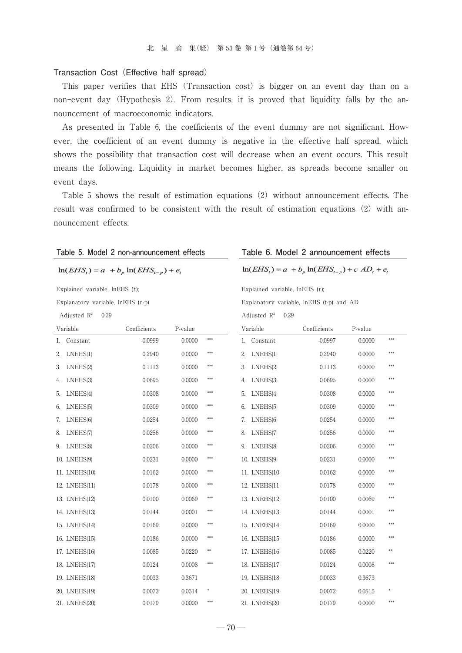#### Transaction Cost (Effective half spread)

This paper verifies that EHS (Transaction cost) is bigger on an event day than on a non-event day(Hypothesis 2). From results, it is proved that liquidity falls by the announcement of macroeconomic indicators.

As presented in Table 6, the coefficients of the event dummy are not significant. However, the coefficient of an event dummy is negative in the effective half spread, which shows the possibility that transaction cost will decrease when an event occurs. This result means the following. Liquidity in market becomes higher, as spreads become smaller on event days.

Table 5 shows the result of estimation equations(2)without announcement effects. The result was confirmed to be consistent with the result of estimation equations  $(2)$  with announcement effects.

| Table 5. Model 2 non-announcement effects   |              |         |     |                                  | Table 6. Model 2 announcement effects                |         |     |
|---------------------------------------------|--------------|---------|-----|----------------------------------|------------------------------------------------------|---------|-----|
| $\ln(EHS_i) = a + b_n \ln(EHS_{i-n}) + e_i$ |              |         |     |                                  | $\ln(EHS_i) = a + b_p \ln(EHS_{i-p}) + c AD_i + e_i$ |         |     |
| Explained variable, $InEHS(t)$ ;            |              |         |     | Explained variable, $InEHS(t)$ ; |                                                      |         |     |
| Explanatory variable, $InEHS(t-p)$          |              |         |     |                                  | Explanatory variable, lnEHS (t-p) and AD             |         |     |
| Adjusted $R^2$<br>0.29                      |              |         |     | Adjusted $R^2$                   | 0.29                                                 |         |     |
| Variable                                    | Coefficients | P-value |     | Variable                         | Coefficients                                         | P-value |     |
| 1. Constant                                 | $-0.0999$    | 0.0000  | *** | 1. Constant                      | $-0.0997$                                            | 0.0000  | *** |
| 2.<br>LNEHS <sup>{1}</sup>                  | 0.2940       | 0.0000  | *** | 2.<br>LNEHS <sup>[1]</sup>       | 0.2940                                               | 0.0000  | *** |
| LNEHS <sup>2</sup><br>3.                    | 0.1113       | 0.0000  | *** | 3.<br>LNEHS <sup>2</sup>         | 0.1113                                               | 0.0000  | *** |
| LNEHS <sup>3</sup><br>4.                    | 0.0695       | 0.0000  | *** | LNEHS <sup>3</sup><br>4.         | 0.0695                                               | 0.0000  | *** |
| LNEHS <sup>[4]</sup><br>5.                  | 0.0308       | 0.0000  | *** | LNEHS <sup>[4]</sup><br>5.       | 0.0308                                               | 0.0000  | *** |
| LNEHS <sup>[5]</sup><br>6.                  | 0.0309       | 0.0000  | *** | 6.<br>LNEHS <sup>[5]</sup>       | 0.0309                                               | 0.0000  | *** |
| LNEHS <sup>6</sup><br>7.                    | 0.0254       | 0.0000  | *** | 7.<br>LNEHS <sup>6</sup>         | 0.0254                                               | 0.0000  | *** |
| LNEHS <sup>[7]</sup><br>8.                  | 0.0256       | 0.0000  | *** | LNEHS <sup>[7]</sup><br>8.       | 0.0256                                               | 0.0000  | *** |
| LNEHS <sup>8</sup><br>9.                    | 0.0206       | 0.0000  | *** | LNEHS <sup>8</sup><br>9.         | 0.0206                                               | 0.0000  | *** |
| 10. LNEHS <sup>[9]</sup>                    | 0.0231       | 0.0000  | *** | 10. LNEHS <sup>[9]</sup>         | 0.0231                                               | 0.0000  | *** |
| 11. LNEHS(10)                               | 0.0162       | 0.0000  | *** | 11. LNEHS(10)                    | 0.0162                                               | 0.0000  | *** |
| 12. LNEHS[11]                               | 0.0178       | 0.0000  | *** | 12. LNEHS{11}                    | 0.0178                                               | 0.0000  | *** |
| 13. LNEHS[12]                               | 0.0100       | 0.0069  | *** | 13. LNEHS[12]                    | 0.0100                                               | 0.0069  | *** |
| 14. LNEHS <sup>13</sup>                     | 0.0144       | 0.0001  | *** | 14. LNEHS <sup>13</sup>          | 0.0144                                               | 0.0001  | *** |
| 15. LNEHS[14]                               | 0.0169       | 0.0000  | *** | 15. LNEHS[14]                    | 0.0169                                               | 0.0000  | *** |
| 16. LNEHS [15]                              | 0.0186       | 0.0000  | *** | 16. LNEHS [15]                   | 0.0186                                               | 0.0000  | *** |
| 17. LNEHS [16]                              | 0.0085       | 0.0220  | **  | 17. LNEHS[16]                    | 0.0085                                               | 0.0220  | **  |
| 18. LNEHS{17}                               | 0.0124       | 0.0008  | *** | 18. LNEHS [17]                   | 0.0124                                               | 0.0008  | *** |
| 19. LNEHS <sup>18</sup>                     | 0.0033       | 0.3671  |     | 19. LNEHS [18]                   | 0.0033                                               | 0.3673  |     |
| 20. LNEHS [19]                              | 0.0072       | 0.0514  | *   | 20. LNEHS [19]                   | 0.0072                                               | 0.0515  |     |
| 21. LNEHS{20}                               | 0.0179       | 0.0000  | *** | 21. LNEHS(20)                    | 0.0179                                               | 0.0000  | *** |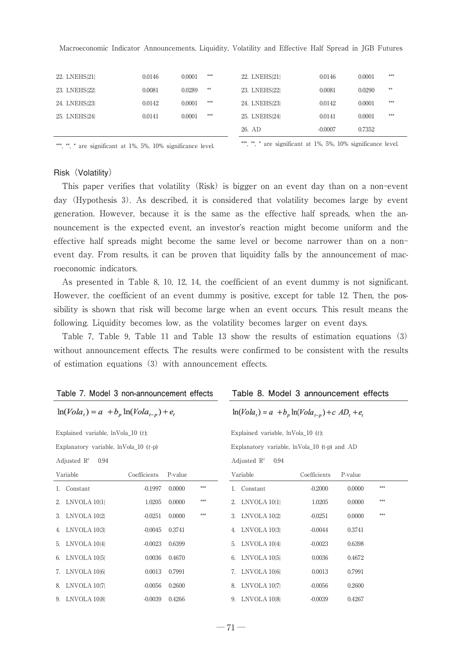| Macroeconomic Indicator Announcements, Liquidity, Volatility and Effective Half Spread in JGB Futures |  |
|-------------------------------------------------------------------------------------------------------|--|
|-------------------------------------------------------------------------------------------------------|--|

| 22. LNEHS(21)  | 0.0146 | 0.0001 | *** | 22. LNEHS(21) | 0.0146    | 0.0001 | *** |
|----------------|--------|--------|-----|---------------|-----------|--------|-----|
| 23. LNEHS [22] | 0.0081 | 0.0289 | **  | 23. LNEHS 22  | 0.0081    | 0.0290 | **  |
| 24. LNEHS 23   | 0.0142 | 0.0001 | *** | 24. LNEHS 23  | 0.0142    | 0.0001 | *** |
| 25. LNEHS 24   | 0.0141 | 0.0001 | *** | 25. LNEHS(24) | 0.0141    | 0.0001 | *** |
|                |        |        |     | 26. AD        | $-0.0007$ | 0.7352 |     |
|                |        |        |     |               |           |        |     |

\*\*\*, \*\*, \*\* are significant at 1%, 5%, 10% significance level.

#### Risk (Volatility)

This paper verifies that volatility (Risk) is bigger on an event day than on a non-event day(Hypothesis 3). As described, it is considered that volatility becomes large by event generation. However, because it is the same as the effective half spreads, when the announcement is the expected event, an investor's reaction might become uniform and the effective half spreads might become the same level or become narrower than on a non event day. From results, it can be proven that liquidity falls by the announcement of macroeconomic indicators.

As presented in Table 8, 10, 12, 14, the coefficient of an event dummy is not significant. However, the coefficient of an event dummy is positive, except for table 12. Then, the possibility is shown that risk will become large when an event occurs. This result means the following. Liquidity becomes low, as the volatility becomes larger on event days.

Table 7, Table 9, Table 11 and Table 13 show the results of estimation equations(3) without announcement effects. The results were confirmed to be consistent with the results of estimation equations  $(3)$  with announcement effects.

|                                           | Table 7. Model 3 non-announcement effects     |              |         |                                                | Table 8. Model 3 announcement effects                  |                                 |              |         |     |
|-------------------------------------------|-----------------------------------------------|--------------|---------|------------------------------------------------|--------------------------------------------------------|---------------------------------|--------------|---------|-----|
|                                           | $\ln(Vola_i) = a + b_n \ln(Vola_{i-n}) + e_i$ |              |         |                                                | $\ln(Vola_t) = a + b_p \ln(Vola_{t-p}) + c AD_t + e_t$ |                                 |              |         |     |
|                                           | Explained variable, $lnVola_10(t)$ ;          |              |         |                                                | Explained variable, $ln$ Vola 10 (t);                  |                                 |              |         |     |
| Explanatory variable, $lnVola$ 10 $(t-p)$ |                                               |              |         | Explanatory variable, $lnVola$ 10 (t-p) and AD |                                                        |                                 |              |         |     |
|                                           | Adjusted $R^2$<br>0.94                        |              |         |                                                |                                                        | Adjusted $\mathbb{R}^2$<br>0.94 |              |         |     |
|                                           | Variable                                      | Coefficients | P-value |                                                |                                                        | Variable                        | Coefficients | P-value |     |
|                                           | 1. Constant                                   | $-0.1997$    | 0.0000  | ***                                            | 1.                                                     | Constant                        | $-0.2000$    | 0.0000  | *** |
|                                           | 2. LNVOLA 10/1                                | 1.0205       | 0.0000  | ***                                            |                                                        | 2. LNVOLA 10/1                  | 1.0205       | 0.0000  | *** |
|                                           | 3. LNVOLA 10/2                                | $-0.0251$    | 0.0000  | ***                                            |                                                        | 3. LNVOLA 10 2                  | $-0.0251$    | 0.0000  | *** |
|                                           | 4. LNVOLA 10 3                                | $-0.0045$    | 0.3741  |                                                |                                                        | 4. LNVOLA 10(3)                 | $-0.0044$    | 0.3741  |     |
| 5.                                        | LNVOLA 1044                                   | $-0.0023$    | 0.6399  |                                                | 5.                                                     | LNVOLA 1044                     | $-0.0023$    | 0.6398  |     |
| 6.                                        | LNVOLA 10 <sup>[5]</sup>                      | 0.0036       | 0.4670  |                                                | 6.                                                     | LNVOLA 10 <sup>5</sup>          | 0.0036       | 0.4672  |     |
|                                           | 7. LNVOLA 10[6]                               | 0.0013       | 0.7991  |                                                |                                                        | 7. LNVOLA 10[6]                 | 0.0013       | 0.7991  |     |
| 8.                                        | LNVOLA 10 7                                   | $-0.0056$    | 0.2600  |                                                | 8.                                                     | LNVOLA 10¦7}                    | $-0.0056$    | 0.2600  |     |
|                                           | 9. LNVOLA 1088                                | $-0.0039$    | 0.4266  |                                                | 9.                                                     | LNVOLA 1088                     | $-0.0039$    | 0.4267  |     |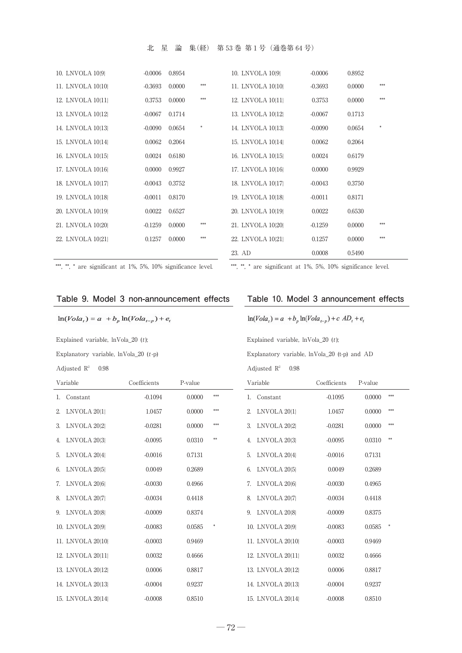### 北星論集(経) 第53巻 第1号(通巻第64号)

| 10. LNVOLA 10{9}  | $-0.0006$ | 0.8954 |     | 10. LNVOLA 10(9)  | $-0.0006$ | 0.8952 |     |
|-------------------|-----------|--------|-----|-------------------|-----------|--------|-----|
| 11. LNVOLA 10/10/ | $-0.3693$ | 0.0000 | *** | 11. LNVOLA 10/10/ | $-0.3693$ | 0.0000 | *** |
| 12. LNVOLA 10{11} | 0.3753    | 0.0000 | *** | 12. LNVOLA 10/11/ | 0.3753    | 0.0000 | *** |
| 13. LNVOLA 10{12} | $-0.0067$ | 0.1714 |     | 13. LNVOLA 10{12} | $-0.0067$ | 0.1713 |     |
| 14. LNVOLA 10[13] | $-0.0090$ | 0.0654 |     | 14. LNVOLA 10{13} | $-0.0090$ | 0.0654 | 東   |
| 15. LNVOLA 10{14} | 0.0062    | 0.2064 |     | 15. LNVOLA 10{14} | 0.0062    | 0.2064 |     |
| 16. LNVOLA 10{15} | 0.0024    | 0.6180 |     | 16. LNVOLA 10{15} | 0.0024    | 0.6179 |     |
| 17. LNVOLA 10{16} | 0.0000    | 0.9927 |     | 17. LNVOLA 10/16/ | 0.0000    | 0.9929 |     |
| 18. LNVOLA 10{17} | $-0.0043$ | 0.3752 |     | 18. LNVOLA 10/17  | $-0.0043$ | 0.3750 |     |
| 19. LNVOLA 10{18} | $-0.0011$ | 0.8170 |     | 19. LNVOLA 10/18/ | $-0.0011$ | 0.8171 |     |
| 20. LNVOLA 10/19/ | 0.0022    | 0.6527 |     | 20. LNVOLA 10/19/ | 0.0022    | 0.6530 |     |
| 21. LNVOLA 10/20} | $-0.1259$ | 0.0000 | *** | 21. LNVOLA 10/20} | $-0.1259$ | 0.0000 | *** |
| 22. LNVOLA 10/21/ | 0.1257    | 0.0000 | *** | 22. LNVOLA 10/21} | 0.1257    | 0.0000 | *** |
|                   |           |        |     | 23. AD            | 0.0008    | 0.5490 |     |

\*\*\*, \*\*, \* are significant at 1%, 5%, 10% significance level. \*\*\*, \*\*, \* are significant at 1%, 5%, 10% significance level.

#### Table 9. Model 3 non-announcement effects

### $\ln(Vola_t) = a + b_p \ln(Vola_{t-p}) + e_t$

Explained variable, lnVola\_20 (t); Explained variable, lnVola\_20 (t);

Adjusted  $R^2$  0.98 Adjusted  $R^2$  0.98

|  |  |  |  |  | Table 10. Model 3 announcement effects |  |
|--|--|--|--|--|----------------------------------------|--|
|--|--|--|--|--|----------------------------------------|--|

 $\ln(Vola_t) = a + b_p \ln(Vola_{t-p}) + c AD_t + e_t$ 

Explanatory variable, lnVola\_20 (t-p) Explanatory variable, lnVola\_20 (t-p) and AD

|    | Variable          | Coefficients | P-value |     |    | Variable          | Coefficients | P-value |     |
|----|-------------------|--------------|---------|-----|----|-------------------|--------------|---------|-----|
|    | 1. Constant       | $-0.1094$    | 0.0000  | *** | 1. | Constant          | $-0.1095$    | 0.0000  | *** |
|    | 2. LNVOLA 2011    | 1.0457       | 0.0000  | *** | 2. | LNVOLA 2011       | 1.0457       | 0.0000  | *** |
|    | 3. LNVOLA 20(2)   | $-0.0281$    | 0.0000  | *** | 3. | LNVOLA 2012       | $-0.0281$    | 0.0000  | *** |
| 4. | LNVOLA 2013       | $-0.0095$    | 0.0310  | **  | 4. | LNVOLA 20131      | $-0.0095$    | 0.0310  | **  |
| 5. | LNVOLA 2044       | $-0.0016$    | 0.7131  |     | 5. | LNVOLA 2014       | $-0.0016$    | 0.7131  |     |
|    | 6. LNVOLA 20151   | 0.0049       | 0.2689  |     | 6. | LNVOLA 20151      | 0.0049       | 0.2689  |     |
|    | 7. LNVOLA 2016    | $-0.0030$    | 0.4966  |     | 7. | LNVOLA 2016       | $-0.0030$    | 0.4965  |     |
| 8. | LNVOLA 2017       | $-0.0034$    | 0.4418  |     | 8. | LNVOLA 2017       | $-0.0034$    | 0.4418  |     |
|    | 9. LNVOLA 20181   | $-0.0009$    | 0.8374  |     | 9. | LNVOLA 20181      | $-0.0009$    | 0.8375  |     |
|    | 10. LNVOLA 20191  | $-0.0083$    | 0.0585  | \$  |    | 10. LNVOLA 20{9}  | $-0.0083$    | 0.0585  |     |
|    | 11. LNVOLA 20/10/ | $-0.0003$    | 0.9469  |     |    | 11. LNVOLA 2010   | $-0.0003$    | 0.9469  |     |
|    | 12. LNVOLA 20111  | 0.0032       | 0.4666  |     |    | 12. LNVOLA 20111  | 0.0032       | 0.4666  |     |
|    | 13. LNVOLA 2012   | 0.0006       | 0.8817  |     |    | 13. LNVOLA 20/12/ | 0.0006       | 0.8817  |     |
|    | 14. LNVOLA 20/13/ | $-0.0004$    | 0.9237  |     |    | 14. LNVOLA 2013   | $-0.0004$    | 0.9237  |     |
|    | 15. LNVOLA 2014   | $-0.0008$    | 0.8510  |     |    | 15. LNVOLA 20114  | $-0.0008$    | 0.8510  |     |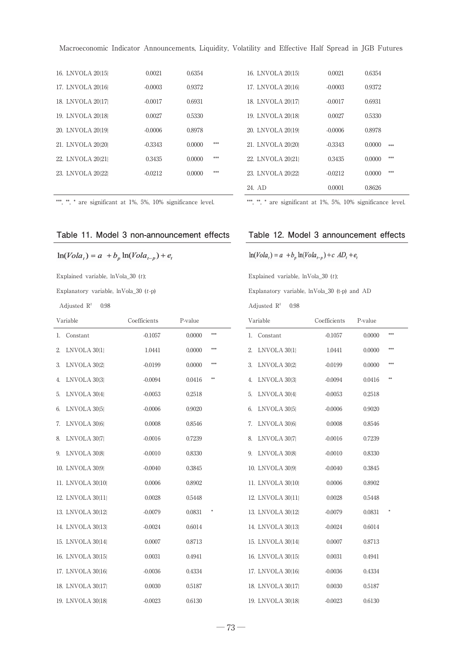| 16. LNVOLA 201151 | 0.0021    | 0.6354        | 16. LNVOLA 201151 | 0.0021    | 0.6354        |
|-------------------|-----------|---------------|-------------------|-----------|---------------|
| 17. LNVOLA 20116  | $-0.0003$ | 0.9372        | 17. LNVOLA 20116  | $-0.0003$ | 0.9372        |
| 18. LNVOLA 201171 | $-0.0017$ | 0.6931        | 18. LNVOLA 201171 | $-0.0017$ | 0.6931        |
| 19. LNVOLA 20118  | 0.0027    | 0.5330        | 19. LNVOLA 20118  | 0.0027    | 0.5330        |
| 20. LNVOLA 201191 | $-0.0006$ | 0.8978        | 20. LNVOLA 201191 | $-0.0006$ | 0.8978        |
| 21. LNVOLA 201201 | $-0.3343$ | ***<br>0.0000 | 21. LNVOLA 20/20/ | $-0.3343$ | 0.0000<br>*** |
| 22. LNVOLA 201211 | 0.3435    | 0.0000<br>*** | 22. LNVOLA 20/21/ | 0.3435    | ***<br>0.0000 |
| 23. LNVOLA 201221 | $-0.0212$ | ***<br>0.0000 | 23. LNVOLA 201221 | $-0.0212$ | ***<br>0.0000 |
|                   |           |               | .                 | ------    | ------        |

\*\*, \*. \* are significant at 1%, 5%, 10% significance level. \*\*\*, \* are significant at 1%, 5%, 10% significance level.

| 24. AD            | 0.0001    | 0.8626 |      |
|-------------------|-----------|--------|------|
| 23. LNVOLA 201221 | $-0.0212$ | 0.0000 | ***  |
| 22. LNVOLA 20221  | 0.3435    | 0.0000 | ***  |
| 21. LNVOLA 20/20/ | $-0.3343$ | 0.0000 | محمد |
| 20. LNVOLA 2019   | $-0.0006$ | 0.8978 |      |
| 19. LNVOLA 2018   | 0.0027    | 0.5330 |      |
| 18. LNVOLA 2017   | $-0.0017$ | 0.6931 |      |
| 17. LNVOLA 20116  | $-0.0003$ | 0.9372 |      |
| 16. LNVOLA 2015   | 0.0021    | 0.6354 |      |

### Table 11. Model 3 non-announcement effects Table 12. Model 3 announcement effects

 $\ln(Vola_t) = a + b_p \ln(Vola_{t-p}) + e_t$ 

Explained variable, lnVola\_30 (t); Explained variable, lnVola\_30 (t);

Adjusted  $\mathbb{R}^2$  0.98 Adjusted  $\mathbb{R}^2$  0.98

|  | $\ln(Vola_t) = a + b_p \ln(Vola_{t-p}) + c AD_t + e_t$ |  |
|--|--------------------------------------------------------|--|
|--|--------------------------------------------------------|--|

Explanatory variable, lnVola\_30 (t-p) Explanatory variable, lnVola\_30 (t-p) and AD

|    | Variable          | Coefficients | P-value |        | Variable                       | Coefficients | P-value |         |
|----|-------------------|--------------|---------|--------|--------------------------------|--------------|---------|---------|
|    | 1. Constant       | $-0.1057$    | 0.0000  | ***    | 1. Constant                    | $-0.1057$    | 0.0000  | ***     |
| 2. | LNVOLA 30/1       | 1.0441       | 0.0000  | ***    | LNVOLA 30/1<br>2.              | 1.0441       | 0.0000  | ***     |
| 3. | LNVOLA 30 2       | $-0.0199$    | 0.0000  | ***    | LNVOLA 30/2<br>3.              | $-0.0199$    | 0.0000  | ***     |
| 4. | LNVOLA 30 3       | $-0.0094$    | 0.0416  | **     | LNVOLA 30 3 <br>4.             | $-0.0094$    | 0.0416  | $^{**}$ |
| 5. | LNVOLA 304        | $-0.0053$    | 0.2518  |        | 5.<br>LNVOLA 30 4              | $-0.0053$    | 0.2518  |         |
|    | 6. LNVOLA 30 5    | $-0.0006$    | 0.9020  |        | LNVOLA 30 <sup>[5]</sup><br>6. | $-0.0006$    | 0.9020  |         |
|    | 7. LNVOLA 30(6)   | 0.0008       | 0.8546  |        | LNVOLA 30{6}<br>7.             | 0.0008       | 0.8546  |         |
|    | 8. LNVOLA 30 7    | $-0.0016$    | 0.7239  |        | LNVOLA 30/7<br>8.              | $-0.0016$    | 0.7239  |         |
|    | 9. LNVOLA 30 8    | $-0.0010$    | 0.8330  |        | 9. LNVOLA 30 8                 | $-0.0010$    | 0.8330  |         |
|    | 10. LNVOLA 30(9)  | $-0.0040$    | 0.3845  |        | 10. LNVOLA 30{9}               | $-0.0040$    | 0.3845  |         |
|    | 11. LNVOLA 30/10/ | 0.0006       | 0.8902  |        | 11. LNVOLA 30/10/              | 0.0006       | 0.8902  |         |
|    | 12. LNVOLA 30{11} | 0.0028       | 0.5448  |        | 12. LNVOLA 30{11}              | 0.0028       | 0.5448  |         |
|    | 13. LNVOLA 30{12} | $-0.0079$    | 0.0831  | $\ast$ | 13. LNVOLA 30/12/              | $-0.0079$    | 0.0831  | \$      |
|    | 14. LNVOLA 30{13} | $-0.0024$    | 0.6014  |        | 14. LNVOLA 30/13/              | $-0.0024$    | 0.6014  |         |
|    | 15. LNVOLA 30/14  | 0.0007       | 0.8713  |        | 15. LNVOLA 30/14/              | 0.0007       | 0.8713  |         |
|    | 16. LNVOLA 30/15/ | 0.0031       | 0.4941  |        | 16. LNVOLA 30/15/              | 0.0031       | 0.4941  |         |
|    | 17. LNVOLA 30/16/ | $-0.0036$    | 0.4334  |        | 17. LNVOLA 30/16/              | $-0.0036$    | 0.4334  |         |
|    | 18. LNVOLA 30/17  | 0.0030       | 0.5187  |        | 18. LNVOLA 30/17/              | 0.0030       | 0.5187  |         |
|    | 19. LNVOLA 30/18/ | $-0.0023$    | 0.6130  |        | 19. LNVOLA 30/18               | $-0.0023$    | 0.6130  |         |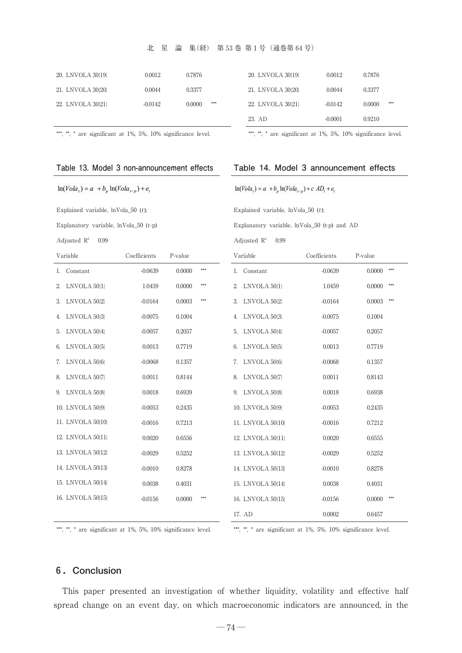#### 北星論集(経) 第53巻 第1号(通巻第64号)

| 20. LNVOLA 30/19/ | 0.0012    | 0.7876        | 20. LNVOLA 30/19/ | 0.0012    | 0.7876        |
|-------------------|-----------|---------------|-------------------|-----------|---------------|
| 21. LNVOLA 30/20} | 0.0044    | 0.3377        | 21. LNVOLA 30/20} | 0.0044    | 0.3377        |
| 22. LNVOLA 30/21} | $-0.0142$ | ***<br>0.0000 | 22. LNVOLA 30/21  | $-0.0142$ | ***<br>0.0000 |

| 20. LNVOLA 30/19/ | 0.0012    | 0.7876 |            |
|-------------------|-----------|--------|------------|
| 21. LNVOLA 30(20) | 0.0044    | 0.3377 |            |
| 22. LNVOLA 30 21  | $-0.0142$ | 0.0000 | <b>SSS</b> |
| 23. AD            | $-0.0001$ | 0.9210 |            |

\*\*\*, \*\*, \*\* are significant at  $1\%$ ,  $5\%$ ,  $10\%$  significance level. \*\*\*, \*\* are significant at  $1\%$ ,  $5\%$ ,  $10\%$  significance level.

#### Table 13. Model 3 non-announcement effects Table 14. Model 3 announcement effects

 $\ln(Vola_i) = a + b_p \ln(Vola_{i-p}) + c AD_i + e_i$ 

| $\ln(Vola_t) = a + b_p \ln(Vola_{t-p}) + e$ |  |  |  |  |  |
|---------------------------------------------|--|--|--|--|--|
|---------------------------------------------|--|--|--|--|--|

Explained variable, lnVola\_50 (t); Explained variable, lnVola\_50 (t);

Explanatory variable, lnVola\_50 (t-p) Explanatory variable, lnVola\_50 (t-p) and AD

Adjusted  $R^2$  0.99 Adjusted  $R^2$  0.99

| Variable           | Coefficients | P-value |     | Variable                     | Coefficients | P-value       |
|--------------------|--------------|---------|-----|------------------------------|--------------|---------------|
| Constant<br>1.     | $-0.0639$    | 0.0000  | *** | 1. Constant                  | $-0.0639$    | 0.0000<br>*** |
| 2. LNVOLA 50{1}    | 1.0459       | 0.0000  | *** | 2.<br>LNVOLA 50{1}           | 1.0459       | 0.0000        |
| LNVOLA 50(2)<br>3. | $-0.0164$    | 0.0003  | *** | LNVOLA 50{2}<br>3.           | $-0.0164$    | 0.0003        |
| LNVOLA 50(3)<br>4. | $-0.0075$    | 0.1004  |     | LNVOLA 50 3<br>4.            | $-0.0075$    | 0.1004        |
| LNVOLA 50/4<br>5.  | $-0.0057$    | 0.2057  |     | LNVOLA 5014<br>5.            | $-0.0057$    | 0.2057        |
| LNVOLA 50 5 <br>6. | 0.0013       | 0.7719  |     | LNVOLA 50 <sup>5</sup><br>6. | 0.0013       | 0.7719        |
| LNVOLA 50%<br>7.   | $-0.0068$    | 0.1357  |     | LNVOLA 50%<br>7.             | $-0.0068$    | 0.1357        |
| LNVOLA 50 7 <br>8. | 0.0011       | 0.8144  |     | LNVOLA 50{7}<br>8.           | 0.0011       | 0.8143        |
| LNVOLA 5088<br>9.  | 0.0018       | 0.6939  |     | LNVOLA 50 8 <br>9.           | 0.0018       | 0.6938        |
| 10. LNVOLA 50(9)   | $-0.0053$    | 0.2435  |     | 10. LNVOLA 50{9}             | $-0.0053$    | 0.2435        |
| 11. LNVOLA 50/10/  | $-0.0016$    | 0.7213  |     | 11. LNVOLA 50/10/            | $-0.0016$    | 0.7212        |
| 12. LNVOLA 50{11}  | 0.0020       | 0.6556  |     | 12. LNVOLA 50{11}            | 0.0020       | 0.6555        |
| 13. LNVOLA 50{12}  | $-0.0029$    | 0.5252  |     | 13. LNVOLA 50{12}            | $-0.0029$    | 0.5252        |
| 14. LNVOLA 50{13}  | $-0.0010$    | 0.8278  |     | 14. LNVOLA 50{13}            | $-0.0010$    | 0.8278        |
| 15. LNVOLA 50{14}  | 0.0038       | 0.4031  |     | 15. LNVOLA 50{14}            | 0.0038       | 0.4031        |
| 16. LNVOLA 50(15)  | $-0.0156$    | 0.0000  | *** | 16. LNVOLA 50{15}            | $-0.0156$    | 0.0000        |
|                    |              |         |     | 17. AD                       | 0.0002       | 0.6457        |

\*\*, \*\*, \* are significant at  $1\%$ ,  $5\%$ ,  $10\%$  significance level. \*\*, \*\*, \* are significant at  $1\%$ ,  $5\%$ ,  $10\%$  significance level.

#### **6.Conclusion**

This paper presented an investigation of whether liquidity, volatility and effective half spread change on an event day, on which macroeconomic indicators are announced, in the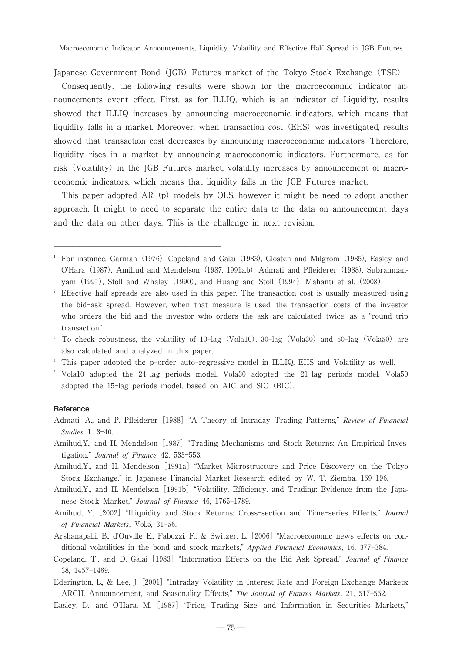Macroeconomic Indicator Announcements, Liquidity, Volatility and Effective Half Spread in JGB Futures

Japanese Government Bond (JGB) Futures market of the Tokyo Stock Exchange (TSE).

Consequently, the following results were shown for the macroeconomic indicator announcements event effect. First, as for ILLIQ, which is an indicator of Liquidity, results showed that ILLIQ increases by announcing macroeconomic indicators, which means that liquidity falls in a market. Moreover, when transaction cost (EHS) was investigated, results showed that transaction cost decreases by announcing macroeconomic indicators. Therefore, liquidity rises in a market by announcing macroeconomic indicators. Furthermore, as for risk (Volatility) in the JGB Futures market, volatility increases by announcement of macroeconomic indicators, which means that liquidity falls in the JGB Futures market.

This paper adopted AR $(p)$  models by OLS, however it might be need to adopt another approach. It might to need to separate the entire data to the data on announcement days and the data on other days. This is the challenge in next revision.

――――――――――――――――――――――

- <sup>3</sup> To check robustness, the volatility of 10-lag (Vola10), 30-lag (Vola30) and 50-lag (Vola50) are also calculated and analyzed in this paper.
- <sup>4</sup> This paper adopted the p-order auto-regressive model in ILLIQ, EHS and Volatility as well.
- <sup>5</sup> Vola10 adopted the 24-lag periods model, Vola30 adopted the 21-lag periods model, Vola50 adopted the 15-lag periods model, based on AIC and SIC(BIC).

#### **Reference**

- Admati, A., and P. Pfleiderer [1988] "A Theory of Intraday Trading Patterns," Review of Financial *Studies* 1, 3-40.
- Amihud,Y., and H. Mendelson [1987] "Trading Mechanisms and Stock Returns: An Empirical Investigation," Journal of Finance 42, 533-553.
- Amihud,Y., and H. Mendelson [1991a] "Market Microstructure and Price Discovery on the Tokyo Stock Exchange," in Japanese Financial Market Research edited by W. T. Ziemba. 169-196.
- Amihud,Y., and H. Mendelson [1991b] "Volatility, Efficiency, and Trading: Evidence from the Japanese Stock Market," Journal of Finance 46, 1765-1789.
- Amihud, Y. [2002] "Illiquidity and Stock Returns: Cross-section and Time-series Effects," Journal *of Financial Markets*, Vol.5, 31-56.
- Arshanapalli, B., d'Ouville E., Fabozzi, F., & Switzer, L. [2006] "Macroeconomic news effects on conditional volatilities in the bond and stock markets," *Applied Financial Economics*, 16, 377-384.
- Copeland, T., and D. Galai [1983] "Information Effects on the Bid-Ask Spread," *Journal of Finance* 38, 1457-1469.
- Ederington, L., & Lee, J. [2001] "Intraday Volatility in Interest-Rate and Foreign-Exchange Markets: ARCH, Announcement, and Seasonality Effects," The Journal of Futures Markets, 21, 517-552.

Easley, D., and O'Hara, M. [1987] "Price, Trading Size, and Information in Securities Markets,"

<sup>&</sup>lt;sup>1</sup> For instance, Garman (1976), Copeland and Galai (1983), Glosten and Milgrom (1985), Easley and O'Hara (1987), Amihud and Mendelson (1987, 1991a,b), Admati and Pfleiderer (1988), Subrahmanyam (1991), Stoll and Whaley (1990), and Huang and Stoll (1994), Mahanti et al. (2008).

<sup>&</sup>lt;sup>2</sup> Effective half spreads are also used in this paper. The transaction cost is usually measured using the bid-ask spread. However, when that measure is used, the transaction costs of the investor who orders the bid and the investor who orders the ask are calculated twice, as a "round-trip transaction".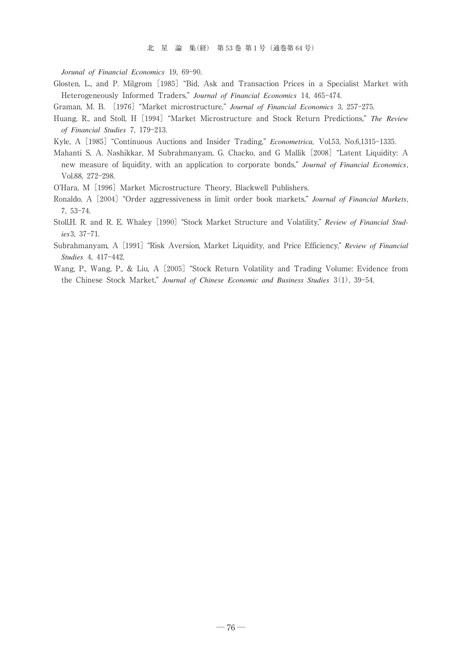*Jorunal of Financial Economics* 19, 69-90.

- Glosten, L., and P. Milgrom[1985]-Bid, Ask and Transaction Prices in a Specialist Market with Heterogeneously Informed Traders," Journal of Financial Economics 14, 465-474.
- Graman, M. B. [1976] "Market microstructure," Journal of Financial Economics 3, 257-275.
- Huang, R., and Stoll, H[1994]-Market Microstructure and Stock Return Predictions, *The Review of Financial Studies* 7, 179-213.
- Kyle, A [1985] "Continuous Auctions and Insider Trading," *Econometrica*, Vol.53, No.6,1315-1335.
- Mahanti S, A. Nashikkar, M Subrahmanyam, G. Chacko, and G Mallik [2008] "Latent Liquidity: A new measure of liquidity, with an application to corporate bonds," Journal of Financial Economics, Vol.88, 272-298.
- O'Hara, M [1996] Market Microstructure Theory, Blackwell Publishers.
- Ronaldo, A [2004] "Order aggressiveness in limit order book markets," *Journal of Financial Markets*, 7, 53-74.
- Stoll,H. R. and R. E. Whaley [1990] "Stock Market Structure and Volatility," *Review of Financial Studies*3, 37-71.
- Subrahmanyam, A [1991] "Risk Aversion, Market Liquidity, and Price Efficiency," *Review of Financial Studies* 4, 417-442.
- Wang, P., Wang, P., & Liu, A [2005] "Stock Return Volatility and Trading Volume: Evidence from the Chinese Stock Market," Journal of Chinese Economic and Business Studies 3(1), 39-54.